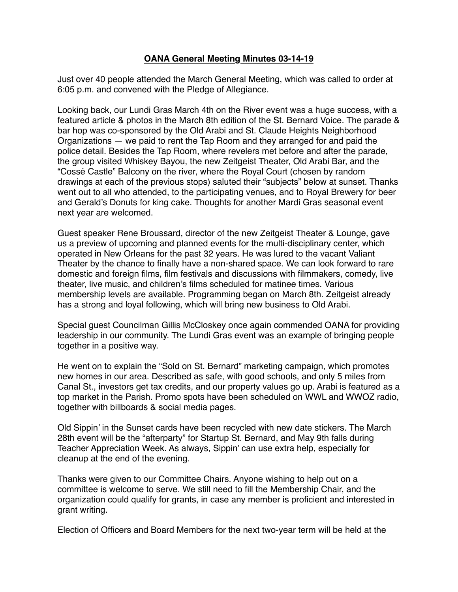## **OANA General Meeting Minutes 03-14-19**

Just over 40 people attended the March General Meeting, which was called to order at 6:05 p.m. and convened with the Pledge of Allegiance.

Looking back, our Lundi Gras March 4th on the River event was a huge success, with a featured article & photos in the March 8th edition of the St. Bernard Voice. The parade & bar hop was co-sponsored by the Old Arabi and St. Claude Heights Neighborhood Organizations — we paid to rent the Tap Room and they arranged for and paid the police detail. Besides the Tap Room, where revelers met before and after the parade, the group visited Whiskey Bayou, the new Zeitgeist Theater, Old Arabi Bar, and the "Cossé Castle" Balcony on the river, where the Royal Court (chosen by random drawings at each of the previous stops) saluted their "subjects" below at sunset. Thanks went out to all who attended, to the participating venues, and to Royal Brewery for beer and Gerald's Donuts for king cake. Thoughts for another Mardi Gras seasonal event next year are welcomed.

Guest speaker Rene Broussard, director of the new Zeitgeist Theater & Lounge, gave us a preview of upcoming and planned events for the multi-disciplinary center, which operated in New Orleans for the past 32 years. He was lured to the vacant Valiant Theater by the chance to finally have a non-shared space. We can look forward to rare domestic and foreign films, film festivals and discussions with filmmakers, comedy, live theater, live music, and children's films scheduled for matinee times. Various membership levels are available. Programming began on March 8th. Zeitgeist already has a strong and loyal following, which will bring new business to Old Arabi.

Special guest Councilman Gillis McCloskey once again commended OANA for providing leadership in our community. The Lundi Gras event was an example of bringing people together in a positive way.

He went on to explain the "Sold on St. Bernard" marketing campaign, which promotes new homes in our area. Described as safe, with good schools, and only 5 miles from Canal St., investors get tax credits, and our property values go up. Arabi is featured as a top market in the Parish. Promo spots have been scheduled on WWL and WWOZ radio, together with billboards & social media pages.

Old Sippin' in the Sunset cards have been recycled with new date stickers. The March 28th event will be the "afterparty" for Startup St. Bernard, and May 9th falls during Teacher Appreciation Week. As always, Sippin' can use extra help, especially for cleanup at the end of the evening.

Thanks were given to our Committee Chairs. Anyone wishing to help out on a committee is welcome to serve. We still need to fill the Membership Chair, and the organization could qualify for grants, in case any member is proficient and interested in grant writing.

Election of Officers and Board Members for the next two-year term will be held at the